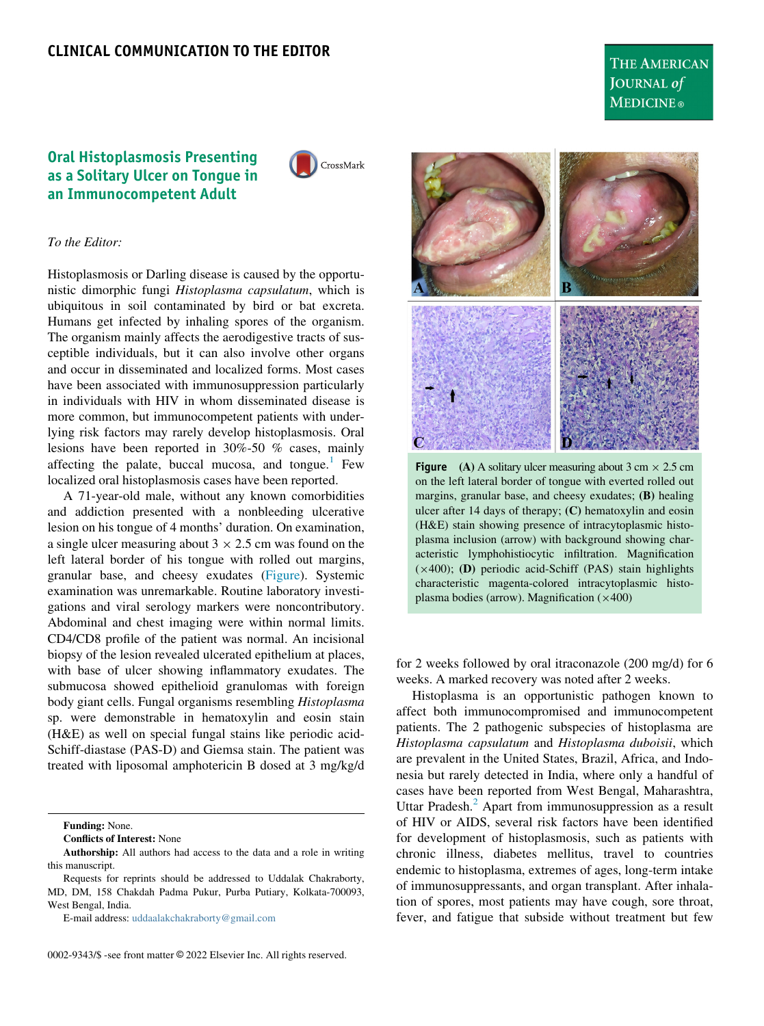# THE AMERICAN JOURNAL of **MEDICINE**®

## <span id="page-0-0"></span>Oral Histoplasmosis Presenting as a Solitary Ulcer on Tongue in an Immunocompetent Adult



#### To the Editor:

Histoplasmosis or Darling disease is caused by the opportunistic dimorphic fungi Histoplasma capsulatum, which is ubiquitous in soil contaminated by bird or bat excreta. Humans get infected by inhaling spores of the organism. The organism mainly affects the aerodigestive tracts of susceptible individuals, but it can also involve other organs and occur in disseminated and localized forms. Most cases have been associated with immunosuppression particularly in individuals with HIV in whom disseminated disease is more common, but immunocompetent patients with underlying risk factors may rarely develop histoplasmosis. Oral lesions have been reported in 30%-50 % cases, mainly affecting the palate, buccal mucosa, and tongue.<sup>[1](#page-1-0)</sup> Few localized oral histoplasmosis cases have been reported.

A 71-year-old male, without any known comorbidities and addiction presented with a nonbleeding ulcerative lesion on his tongue of 4 months' duration. On examination, a single ulcer measuring about  $3 \times 2.5$  cm was found on the left lateral border of his tongue with rolled out margins, granular base, and cheesy exudates [\(Figure](#page-0-0)). Systemic examination was unremarkable. Routine laboratory investigations and viral serology markers were noncontributory. Abdominal and chest imaging were within normal limits. CD4/CD8 profile of the patient was normal. An incisional biopsy of the lesion revealed ulcerated epithelium at places, with base of ulcer showing inflammatory exudates. The submucosa showed epithelioid granulomas with foreign body giant cells. Fungal organisms resembling Histoplasma sp. were demonstrable in hematoxylin and eosin stain (H&E) as well on special fungal stains like periodic acid-Schiff-diastase (PAS-D) and Giemsa stain. The patient was treated with liposomal amphotericin B dosed at 3 mg/kg/d

Funding: None.

Conflicts of Interest: None

E-mail address: [uddaalakchakraborty@gmail.com](mailto:uddaalakchakraborty@gmail.com)



**Figure** (A) A solitary ulcer measuring about  $3 \text{ cm} \times 2.5 \text{ cm}$ on the left lateral border of tongue with everted rolled out margins, granular base, and cheesy exudates; (B) healing ulcer after 14 days of therapy; (C) hematoxylin and eosin (H&E) stain showing presence of intracytoplasmic histoplasma inclusion (arrow) with background showing characteristic lymphohistiocytic infiltration. Magnification  $(\times 400)$ ; (D) periodic acid-Schiff (PAS) stain highlights characteristic magenta-colored intracytoplasmic histoplasma bodies (arrow). Magnification  $(\times 400)$ 

for 2 weeks followed by oral itraconazole (200 mg/d) for 6 weeks. A marked recovery was noted after 2 weeks.

Histoplasma is an opportunistic pathogen known to affect both immunocompromised and immunocompetent patients. The 2 pathogenic subspecies of histoplasma are Histoplasma capsulatum and Histoplasma duboisii, which are prevalent in the United States, Brazil, Africa, and Indonesia but rarely detected in India, where only a handful of cases have been reported from West Bengal, Maharashtra, Uttar Pradesh. $<sup>2</sup>$  $<sup>2</sup>$  $<sup>2</sup>$  Apart from immunosuppression as a result</sup> of HIV or AIDS, several risk factors have been identified for development of histoplasmosis, such as patients with chronic illness, diabetes mellitus, travel to countries endemic to histoplasma, extremes of ages, long-term intake of immunosuppressants, and organ transplant. After inhalation of spores, most patients may have cough, sore throat, fever, and fatigue that subside without treatment but few

Authorship: All authors had access to the data and a role in writing this manuscript.

Requests for reprints should be addressed to Uddalak Chakraborty, MD, DM, 158 Chakdah Padma Pukur, Purba Putiary, Kolkata-700093, West Bengal, India.